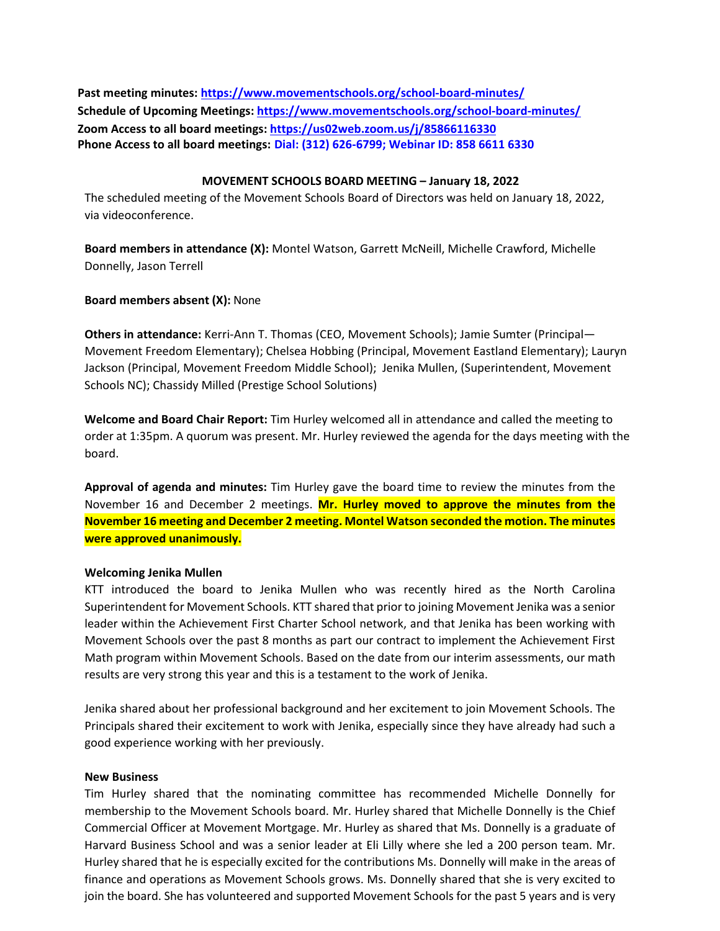**Past meeting minutes:<https://www.movementschools.org/school-board-minutes/> Schedule of Upcoming Meetings[: https://www.movementschools.org/school-board-minutes/](https://www.movementschools.org/school-board-minutes/) Zoom Access to all board meetings:<https://us02web.zoom.us/j/85866116330> Phone Access to all board meetings: Dial: (312) 626-6799; Webinar ID: 858 6611 6330**

### **MOVEMENT SCHOOLS BOARD MEETING – January 18, 2022**

The scheduled meeting of the Movement Schools Board of Directors was held on January 18, 2022, via videoconference.

**Board members in attendance (X):** Montel Watson, Garrett McNeill, Michelle Crawford, Michelle Donnelly, Jason Terrell

# **Board members absent (X):** None

**Others in attendance:** Kerri-Ann T. Thomas (CEO, Movement Schools); Jamie Sumter (Principal— Movement Freedom Elementary); Chelsea Hobbing (Principal, Movement Eastland Elementary); Lauryn Jackson (Principal, Movement Freedom Middle School); Jenika Mullen, (Superintendent, Movement Schools NC); Chassidy Milled (Prestige School Solutions)

**Welcome and Board Chair Report:** Tim Hurley welcomed all in attendance and called the meeting to order at 1:35pm. A quorum was present. Mr. Hurley reviewed the agenda for the days meeting with the board.

**Approval of agenda and minutes:** Tim Hurley gave the board time to review the minutes from the November 16 and December 2 meetings. **Mr. Hurley moved to approve the minutes from the November 16 meeting and December 2 meeting. Montel Watson seconded the motion. The minutes were approved unanimously.**

### **Welcoming Jenika Mullen**

KTT introduced the board to Jenika Mullen who was recently hired as the North Carolina Superintendent for Movement Schools. KTT shared that prior to joining Movement Jenika was a senior leader within the Achievement First Charter School network, and that Jenika has been working with Movement Schools over the past 8 months as part our contract to implement the Achievement First Math program within Movement Schools. Based on the date from our interim assessments, our math results are very strong this year and this is a testament to the work of Jenika.

Jenika shared about her professional background and her excitement to join Movement Schools. The Principals shared their excitement to work with Jenika, especially since they have already had such a good experience working with her previously.

### **New Business**

Tim Hurley shared that the nominating committee has recommended Michelle Donnelly for membership to the Movement Schools board. Mr. Hurley shared that Michelle Donnelly is the Chief Commercial Officer at Movement Mortgage. Mr. Hurley as shared that Ms. Donnelly is a graduate of Harvard Business School and was a senior leader at Eli Lilly where she led a 200 person team. Mr. Hurley shared that he is especially excited for the contributions Ms. Donnelly will make in the areas of finance and operations as Movement Schools grows. Ms. Donnelly shared that she is very excited to join the board. She has volunteered and supported Movement Schools for the past 5 years and is very